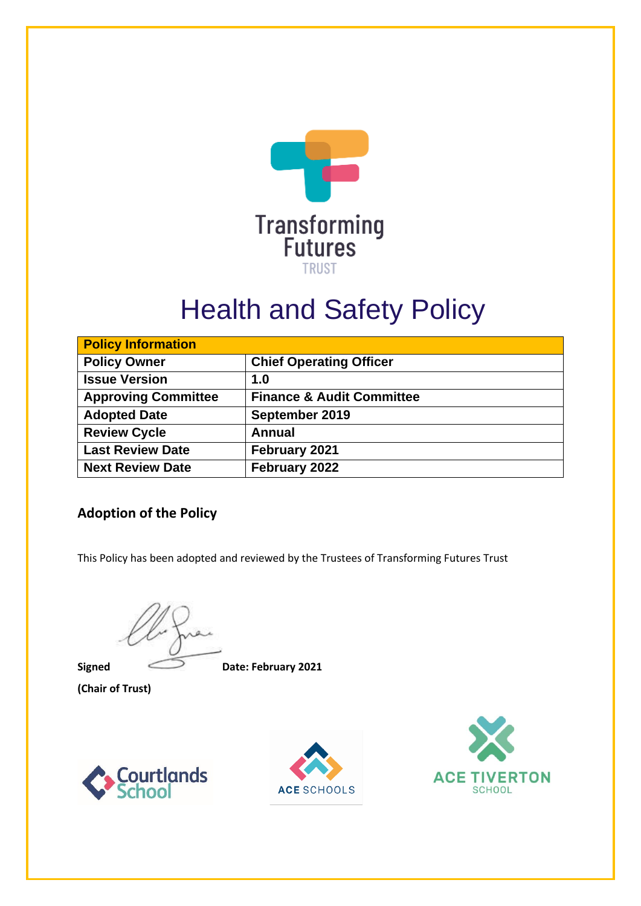

# Health and Safety Policy

| <b>Policy Information</b>  |                                      |
|----------------------------|--------------------------------------|
| <b>Policy Owner</b>        | <b>Chief Operating Officer</b>       |
| <b>Issue Version</b>       | 1.0                                  |
| <b>Approving Committee</b> | <b>Finance &amp; Audit Committee</b> |
| <b>Adopted Date</b>        | September 2019                       |
| <b>Review Cycle</b>        | Annual                               |
| <b>Last Review Date</b>    | February 2021                        |
| <b>Next Review Date</b>    | February 2022                        |

## **Adoption of the Policy**

This Policy has been adopted and reviewed by the Trustees of Transforming Futures Trust

**(Chair of Trust)**

**Signed Date: February 2021**





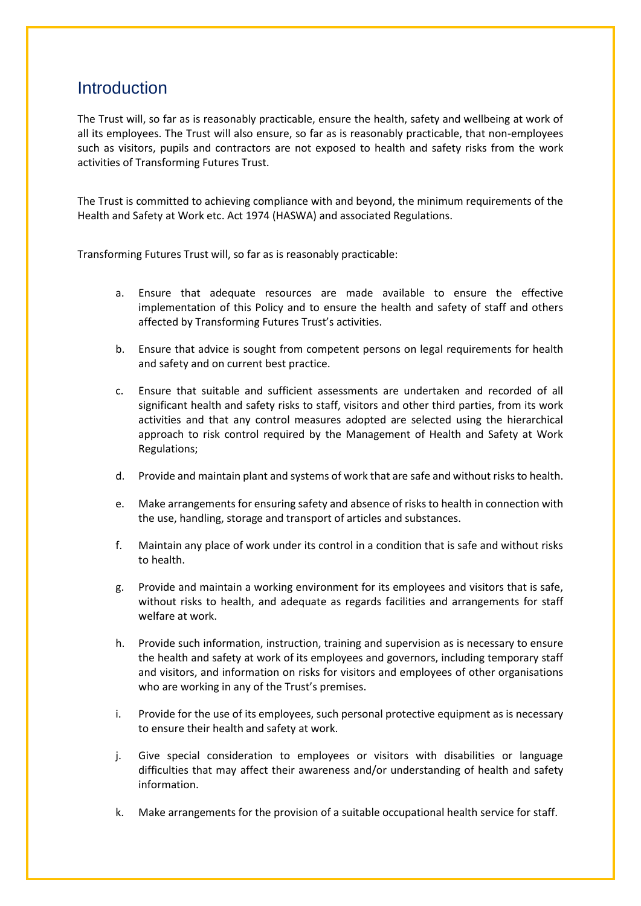# **Introduction**

The Trust will, so far as is reasonably practicable, ensure the health, safety and wellbeing at work of all its employees. The Trust will also ensure, so far as is reasonably practicable, that non-employees such as visitors, pupils and contractors are not exposed to health and safety risks from the work activities of Transforming Futures Trust.

The Trust is committed to achieving compliance with and beyond, the minimum requirements of the Health and Safety at Work etc. Act 1974 (HASWA) and associated Regulations.

Transforming Futures Trust will, so far as is reasonably practicable:

- a. Ensure that adequate resources are made available to ensure the effective implementation of this Policy and to ensure the health and safety of staff and others affected by Transforming Futures Trust's activities.
- b. Ensure that advice is sought from competent persons on legal requirements for health and safety and on current best practice.
- c. Ensure that suitable and sufficient assessments are undertaken and recorded of all significant health and safety risks to staff, visitors and other third parties, from its work activities and that any control measures adopted are selected using the hierarchical approach to risk control required by the Management of Health and Safety at Work Regulations;
- d. Provide and maintain plant and systems of work that are safe and without risks to health.
- e. Make arrangements for ensuring safety and absence of risks to health in connection with the use, handling, storage and transport of articles and substances.
- f. Maintain any place of work under its control in a condition that is safe and without risks to health.
- g. Provide and maintain a working environment for its employees and visitors that is safe, without risks to health, and adequate as regards facilities and arrangements for staff welfare at work.
- h. Provide such information, instruction, training and supervision as is necessary to ensure the health and safety at work of its employees and governors, including temporary staff and visitors, and information on risks for visitors and employees of other organisations who are working in any of the Trust's premises.
- i. Provide for the use of its employees, such personal protective equipment as is necessary to ensure their health and safety at work.
- j. Give special consideration to employees or visitors with disabilities or language difficulties that may affect their awareness and/or understanding of health and safety information.
- k. Make arrangements for the provision of a suitable occupational health service for staff.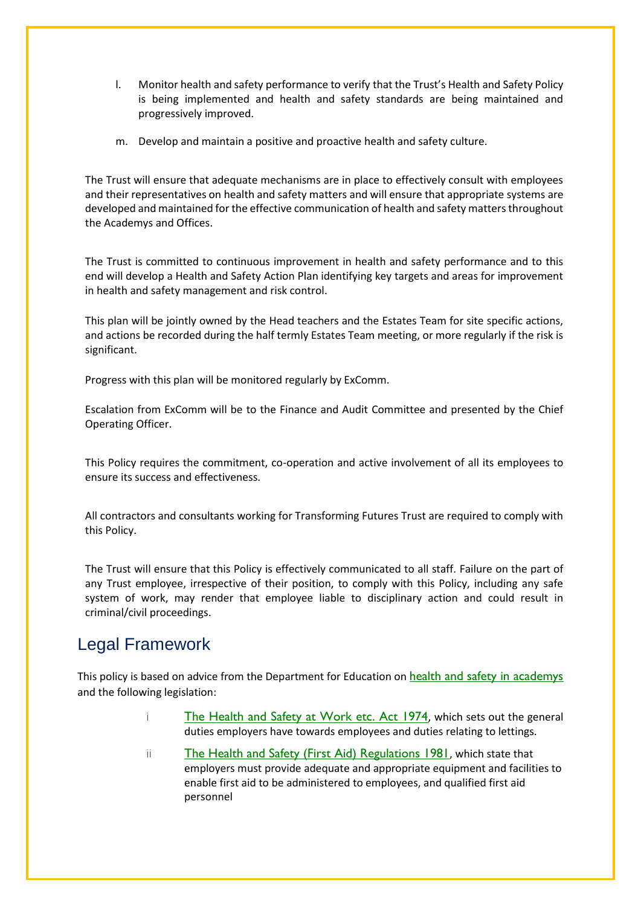- l. Monitor health and safety performance to verify that the Trust's Health and Safety Policy is being implemented and health and safety standards are being maintained and progressively improved.
- m. Develop and maintain a positive and proactive health and safety culture.

The Trust will ensure that adequate mechanisms are in place to effectively consult with employees and their representatives on health and safety matters and will ensure that appropriate systems are developed and maintained for the effective communication of health and safety matters throughout the Academys and Offices.

The Trust is committed to continuous improvement in health and safety performance and to this end will develop a Health and Safety Action Plan identifying key targets and areas for improvement in health and safety management and risk control.

This plan will be jointly owned by the Head teachers and the Estates Team for site specific actions, and actions be recorded during the half termly Estates Team meeting, or more regularly if the risk is significant.

Progress with this plan will be monitored regularly by ExComm.

Escalation from ExComm will be to the Finance and Audit Committee and presented by the Chief Operating Officer.

This Policy requires the commitment, co-operation and active involvement of all its employees to ensure its success and effectiveness.

All contractors and consultants working for Transforming Futures Trust are required to comply with this Policy.

The Trust will ensure that this Policy is effectively communicated to all staff. Failure on the part of any Trust employee, irrespective of their position, to comply with this Policy, including any safe system of work, may render that employee liable to disciplinary action and could result in criminal/civil proceedings.

# Legal Framework

This policy is based on advice from the Department for Education on [health and safety in academys](https://www.gov.uk/government/publications/health-and-safety-advice-for-schools) and the following legislation:

- i [The Health and Safety at Work etc. Act 1974](http://www.legislation.gov.uk/ukpga/1974/37), which sets out the general duties employers have towards employees and duties relating to lettings.
- ii [The Health and Safety \(First Aid\) Regulations 1981](http://www.legislation.gov.uk/uksi/1981/917/regulation/3/made), which state that employers must provide adequate and appropriate equipment and facilities to enable first aid to be administered to employees, and qualified first aid personnel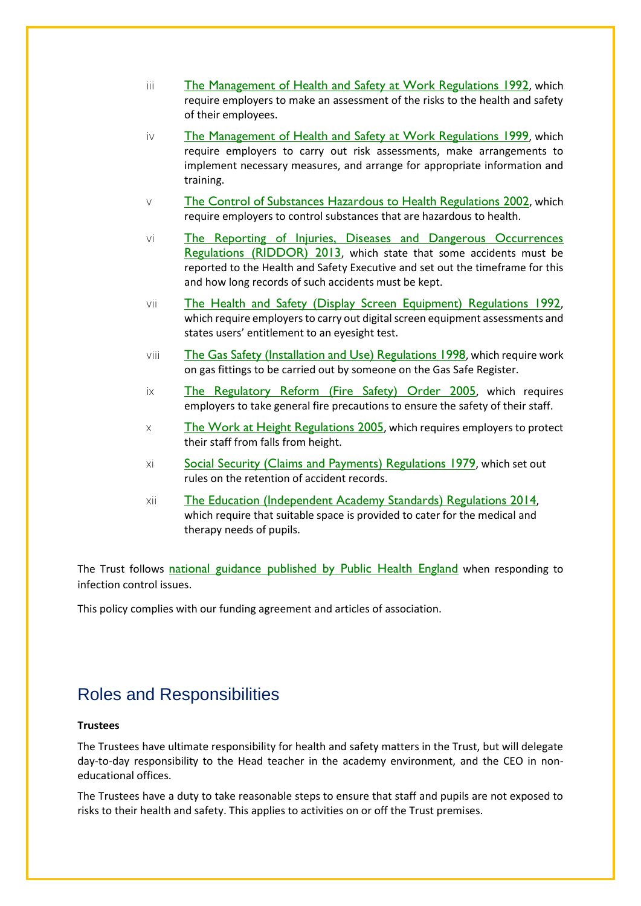- iii [The Management of Health and Safety at Work Regulations 1992](http://www.legislation.gov.uk/uksi/1992/2051/regulation/3/made), which require employers to make an assessment of the risks to the health and safety of their employees.
- iv [The Management of Health and Safety at Work Regulations 1999](http://www.legislation.gov.uk/uksi/1999/3242/contents/made), which require employers to carry out risk assessments, make arrangements to implement necessary measures, and arrange for appropriate information and training.
- $\vee$  [The Control of Substances Hazardous to Health Regulations 2002](http://www.legislation.gov.uk/uksi/2002/2677/contents/made), which require employers to control substances that are hazardous to health.
- vi [The Reporting of Injuries, Diseases and Dangerous Occurrences](http://www.legislation.gov.uk/uksi/2013/1471/schedule/1/paragraph/1/made)  [Regulations \(RIDDOR\) 2013](http://www.legislation.gov.uk/uksi/2013/1471/schedule/1/paragraph/1/made), which state that some accidents must be reported to the Health and Safety Executive and set out the timeframe for this and how long records of such accidents must be kept.
- vii [The Health and Safety \(Display Screen Equipment\) Regulations 1992](http://www.legislation.gov.uk/uksi/1992/2792/contents/made), which require employers to carry out digital screen equipment assessments and states users' entitlement to an eyesight test.
- viii [The Gas Safety \(Installation and Use\) Regulations 1998](http://www.legislation.gov.uk/uksi/1998/2451/regulation/4/made), which require work on gas fittings to be carried out by someone on the Gas Safe Register.
- ix [The Regulatory Reform \(Fire Safety\) Order 2005](http://www.legislation.gov.uk/uksi/2005/1541/part/2/made), which requires employers to take general fire precautions to ensure the safety of their staff.
- $\times$  [The Work at Height Regulations 2005](http://www.legislation.gov.uk/uksi/2005/735/contents/made), which requires employers to protect their staff from falls from height.
- xi [Social Security \(Claims and Payments\) Regulations 1979](http://www.legislation.gov.uk/uksi/1979/628), which set out rules on the retention of accident records.
- xii [The Education \(Independent Academy](http://www.legislation.gov.uk/uksi/2014/3283/schedule/made) Standards) Regulations 2014, which require that suitable space is provided to cater for the medical and therapy needs of pupils.

The Trust follows [national guidance published by Public Health England](https://www.gov.uk/government/publications/health-protection-in-schools-and-other-childcare-facilities/chapter-9-managing-specific-infectious-diseases) when responding to infection control issues.

This policy complies with our funding agreement and articles of association.

# Roles and Responsibilities

### **Trustees**

The Trustees have ultimate responsibility for health and safety matters in the Trust, but will delegate day-to-day responsibility to the Head teacher in the academy environment, and the CEO in noneducational offices.

The Trustees have a duty to take reasonable steps to ensure that staff and pupils are not exposed to risks to their health and safety. This applies to activities on or off the Trust premises.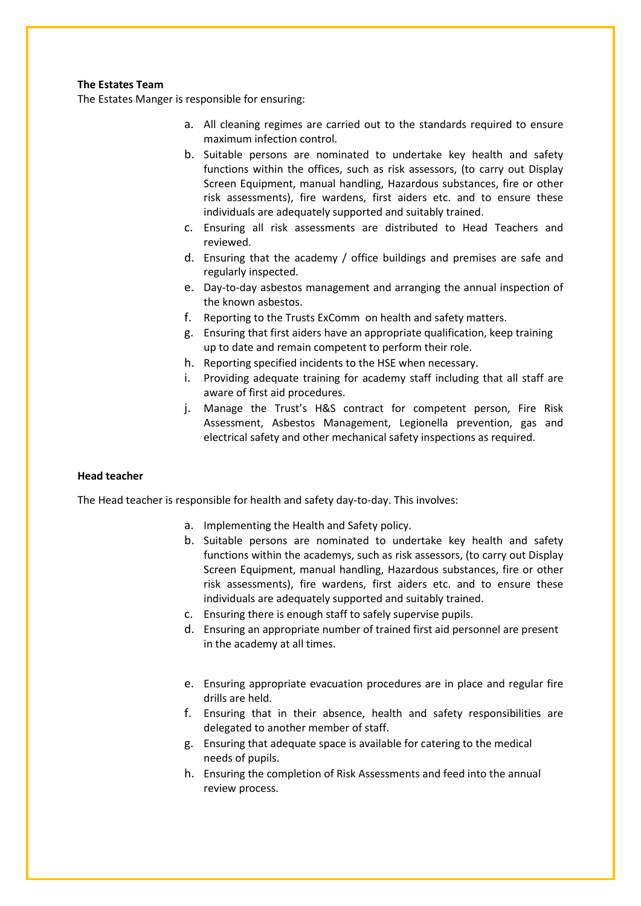### **The Estates Team**

The Estates Manger is responsible for ensuring:

- a. All cleaning regimes are carried out to the standards required to ensure maximum infection control.
- b. Suitable persons are nominated to undertake key health and safety functions within the offices, such as risk assessors, (to carry out Display Screen Equipment, manual handling, Hazardous substances, fire or other risk assessments), fire wardens, first aiders etc. and to ensure these individuals are adequately supported and suitably trained.
- c. Ensuring all risk assessments are distributed to Head Teachers and reviewed.
- d. Ensuring that the academy / office buildings and premises are safe and regularly inspected.
- e. Day-to-day asbestos management and arranging the annual inspection of the known asbestos.
- f. Reporting to the Trusts ExComm on health and safety matters.
- g. Ensuring that first aiders have an appropriate qualification, keep training up to date and remain competent to perform their role.
- h. Reporting specified incidents to the HSE when necessary.
- i. Providing adequate training for academy staff including that all staff are aware of first aid procedures.
- j. Manage the Trust's H&S contract for competent person, Fire Risk Assessment, Asbestos Management, Legionella prevention, gas and electrical safety and other mechanical safety inspections as required.

#### **Head teacher**

The Head teacher is responsible for health and safety day-to-day. This involves:

- a. Implementing the Health and Safety policy.
- b. Suitable persons are nominated to undertake key health and safety functions within the academys, such as risk assessors, (to carry out Display Screen Equipment, manual handling, Hazardous substances, fire or other risk assessments), fire wardens, first aiders etc. and to ensure these individuals are adequately supported and suitably trained.
- c. Ensuring there is enough staff to safely supervise pupils.
- d. Ensuring an appropriate number of trained first aid personnel are present in the academy at all times.
- e. Ensuring appropriate evacuation procedures are in place and regular fire drills are held.
- f. Ensuring that in their absence, health and safety responsibilities are delegated to another member of staff.
- g. Ensuring that adequate space is available for catering to the medical needs of pupils.
- h. Ensuring the completion of Risk Assessments and feed into the annual review process.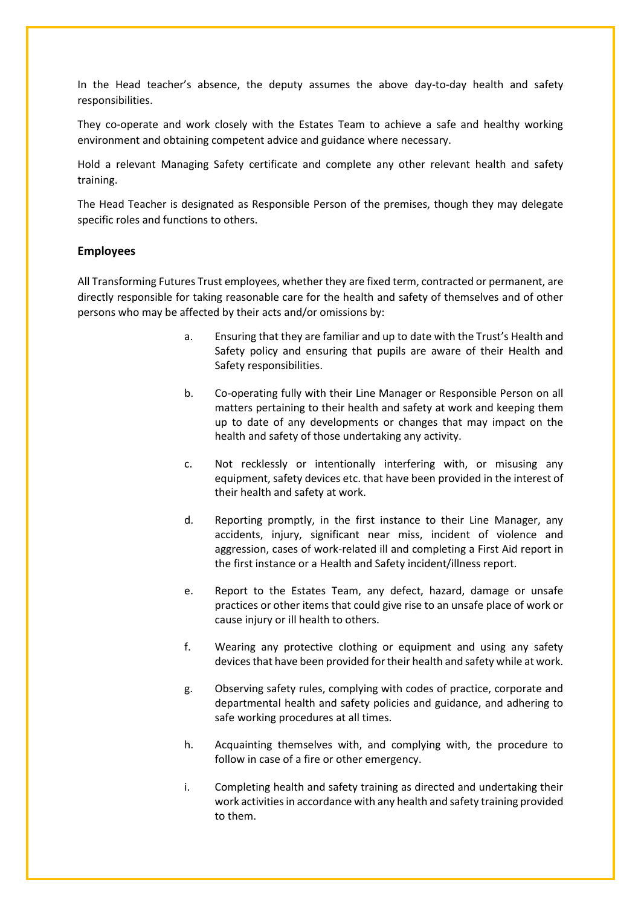In the Head teacher's absence, the deputy assumes the above day-to-day health and safety responsibilities.

They co-operate and work closely with the Estates Team to achieve a safe and healthy working environment and obtaining competent advice and guidance where necessary.

Hold a relevant Managing Safety certificate and complete any other relevant health and safety training.

The Head Teacher is designated as Responsible Person of the premises, though they may delegate specific roles and functions to others.

#### **Employees**

All Transforming Futures Trust employees, whether they are fixed term, contracted or permanent, are directly responsible for taking reasonable care for the health and safety of themselves and of other persons who may be affected by their acts and/or omissions by:

- a. Ensuring that they are familiar and up to date with the Trust's Health and Safety policy and ensuring that pupils are aware of their Health and Safety responsibilities.
- b. Co-operating fully with their Line Manager or Responsible Person on all matters pertaining to their health and safety at work and keeping them up to date of any developments or changes that may impact on the health and safety of those undertaking any activity.
- c. Not recklessly or intentionally interfering with, or misusing any equipment, safety devices etc. that have been provided in the interest of their health and safety at work.
- d. Reporting promptly, in the first instance to their Line Manager, any accidents, injury, significant near miss, incident of violence and aggression, cases of work-related ill and completing a First Aid report in the first instance or a Health and Safety incident/illness report.
- e. Report to the Estates Team, any defect, hazard, damage or unsafe practices or other items that could give rise to an unsafe place of work or cause injury or ill health to others.
- f. Wearing any protective clothing or equipment and using any safety devices that have been provided for their health and safety while at work.
- g. Observing safety rules, complying with codes of practice, corporate and departmental health and safety policies and guidance, and adhering to safe working procedures at all times.
- h. Acquainting themselves with, and complying with, the procedure to follow in case of a fire or other emergency.
- i. Completing health and safety training as directed and undertaking their work activities in accordance with any health and safety training provided to them.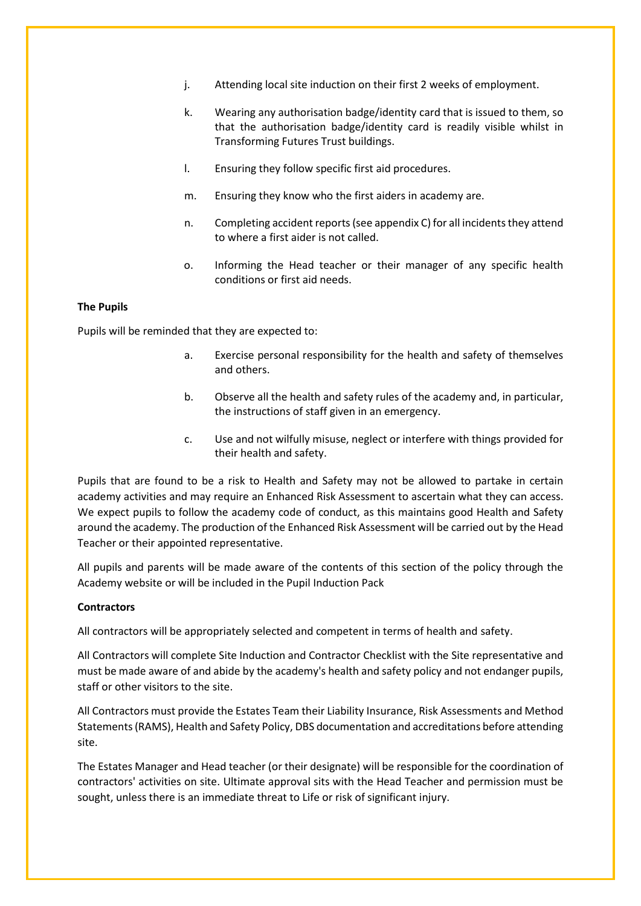- j. Attending local site induction on their first 2 weeks of employment.
- k. Wearing any authorisation badge/identity card that is issued to them, so that the authorisation badge/identity card is readily visible whilst in Transforming Futures Trust buildings.
- l. Ensuring they follow specific first aid procedures.
- m. Ensuring they know who the first aiders in academy are.
- n. Completing accident reports (see appendix C) for all incidents they attend to where a first aider is not called.
- o. Informing the Head teacher or their manager of any specific health conditions or first aid needs.

#### **The Pupils**

Pupils will be reminded that they are expected to:

- a. Exercise personal responsibility for the health and safety of themselves and others.
- b. Observe all the health and safety rules of the academy and, in particular, the instructions of staff given in an emergency.
- c. Use and not wilfully misuse, neglect or interfere with things provided for their health and safety.

Pupils that are found to be a risk to Health and Safety may not be allowed to partake in certain academy activities and may require an Enhanced Risk Assessment to ascertain what they can access. We expect pupils to follow the academy code of conduct, as this maintains good Health and Safety around the academy. The production of the Enhanced Risk Assessment will be carried out by the Head Teacher or their appointed representative.

All pupils and parents will be made aware of the contents of this section of the policy through the Academy website or will be included in the Pupil Induction Pack

#### **Contractors**

All contractors will be appropriately selected and competent in terms of health and safety.

All Contractors will complete Site Induction and Contractor Checklist with the Site representative and must be made aware of and abide by the academy's health and safety policy and not endanger pupils, staff or other visitors to the site.

All Contractors must provide the Estates Team their Liability Insurance, Risk Assessments and Method Statements (RAMS), Health and Safety Policy, DBS documentation and accreditations before attending site.

The Estates Manager and Head teacher (or their designate) will be responsible for the coordination of contractors' activities on site. Ultimate approval sits with the Head Teacher and permission must be sought, unless there is an immediate threat to Life or risk of significant injury.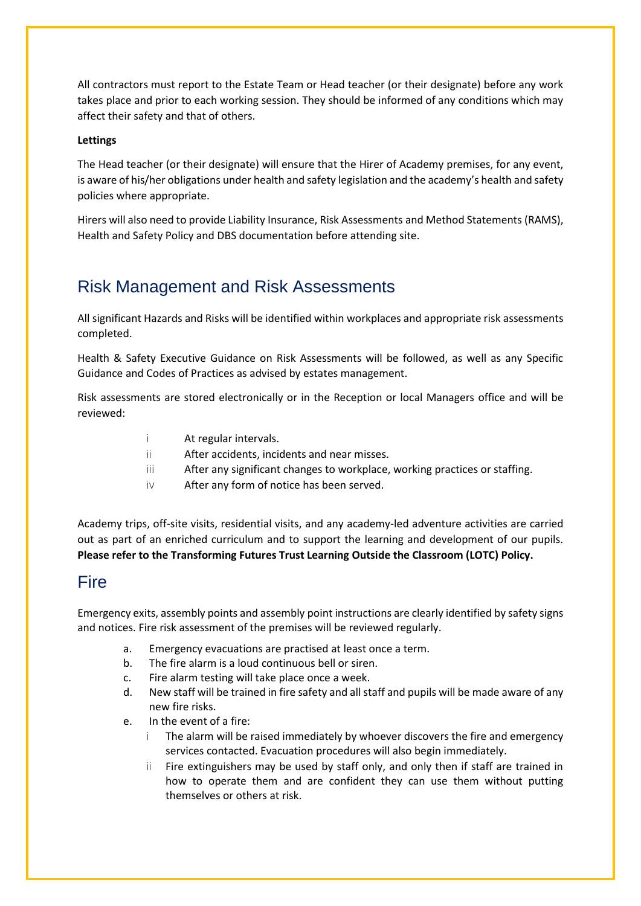All contractors must report to the Estate Team or Head teacher (or their designate) before any work takes place and prior to each working session. They should be informed of any conditions which may affect their safety and that of others.

### **Lettings**

The Head teacher (or their designate) will ensure that the Hirer of Academy premises, for any event, is aware of his/her obligations under health and safety legislation and the academy's health and safety policies where appropriate.

Hirers will also need to provide Liability Insurance, Risk Assessments and Method Statements (RAMS), Health and Safety Policy and DBS documentation before attending site.

# Risk Management and Risk Assessments

All significant Hazards and Risks will be identified within workplaces and appropriate risk assessments completed.

Health & Safety Executive Guidance on Risk Assessments will be followed, as well as any Specific Guidance and Codes of Practices as advised by estates management.

Risk assessments are stored electronically or in the Reception or local Managers office and will be reviewed:

- i At regular intervals.
- ii After accidents, incidents and near misses.
- iii After any significant changes to workplace, working practices or staffing.
- iv After any form of notice has been served.

Academy trips, off-site visits, residential visits, and any academy-led adventure activities are carried out as part of an enriched curriculum and to support the learning and development of our pupils. **Please refer to the Transforming Futures Trust Learning Outside the Classroom (LOTC) Policy.** 

# Fire

Emergency exits, assembly points and assembly point instructions are clearly identified by safety signs and notices. Fire risk assessment of the premises will be reviewed regularly.

- a. Emergency evacuations are practised at least once a term.
- b. The fire alarm is a loud continuous bell or siren.
- c. Fire alarm testing will take place once a week.
- d. New staff will be trained in fire safety and all staff and pupils will be made aware of any new fire risks.
- e. In the event of a fire:
	- i The alarm will be raised immediately by whoever discovers the fire and emergency services contacted. Evacuation procedures will also begin immediately.
	- Fire extinguishers may be used by staff only, and only then if staff are trained in how to operate them and are confident they can use them without putting themselves or others at risk.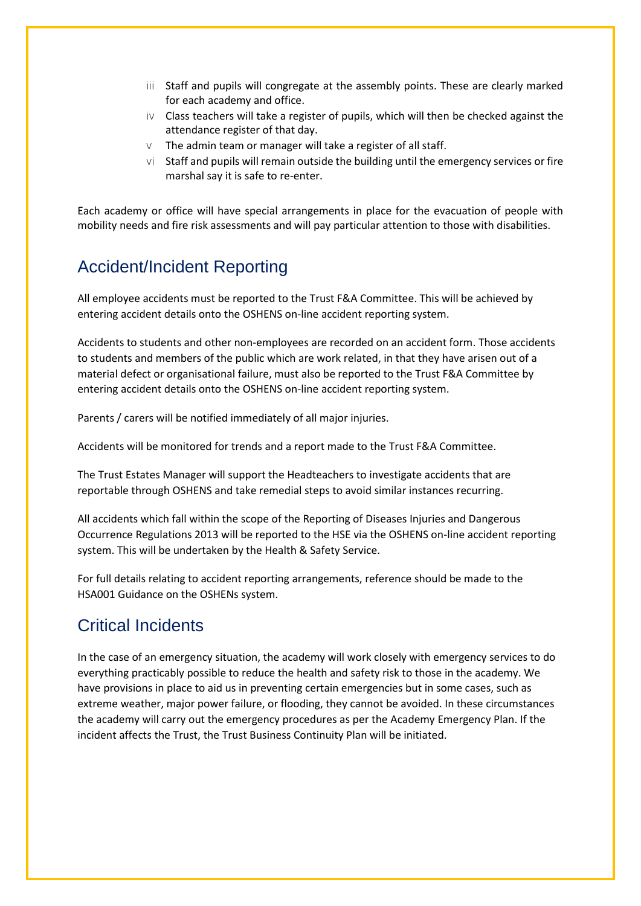- iii Staff and pupils will congregate at the assembly points. These are clearly marked for each academy and office.
- iv Class teachers will take a register of pupils, which will then be checked against the attendance register of that day.
- $V$  The admin team or manager will take a register of all staff.
- $\vee$ i Staff and pupils will remain outside the building until the emergency services or fire marshal say it is safe to re-enter.

Each academy or office will have special arrangements in place for the evacuation of people with mobility needs and fire risk assessments and will pay particular attention to those with disabilities.

# Accident/Incident Reporting

All employee accidents must be reported to the Trust F&A Committee. This will be achieved by entering accident details onto the OSHENS on-line accident reporting system.

Accidents to students and other non-employees are recorded on an accident form. Those accidents to students and members of the public which are work related, in that they have arisen out of a material defect or organisational failure, must also be reported to the Trust F&A Committee by entering accident details onto the OSHENS on-line accident reporting system.

Parents / carers will be notified immediately of all major injuries.

Accidents will be monitored for trends and a report made to the Trust F&A Committee.

The Trust Estates Manager will support the Headteachers to investigate accidents that are reportable through OSHENS and take remedial steps to avoid similar instances recurring.

All accidents which fall within the scope of the Reporting of Diseases Injuries and Dangerous Occurrence Regulations 2013 will be reported to the HSE via the OSHENS on-line accident reporting system. This will be undertaken by the Health & Safety Service.

For full details relating to accident reporting arrangements, reference should be made to the HSA001 Guidance on the OSHENs system.

# Critical Incidents

In the case of an emergency situation, the academy will work closely with emergency services to do everything practicably possible to reduce the health and safety risk to those in the academy. We have provisions in place to aid us in preventing certain emergencies but in some cases, such as extreme weather, major power failure, or flooding, they cannot be avoided. In these circumstances the academy will carry out the emergency procedures as per the Academy Emergency Plan. If the incident affects the Trust, the Trust Business Continuity Plan will be initiated.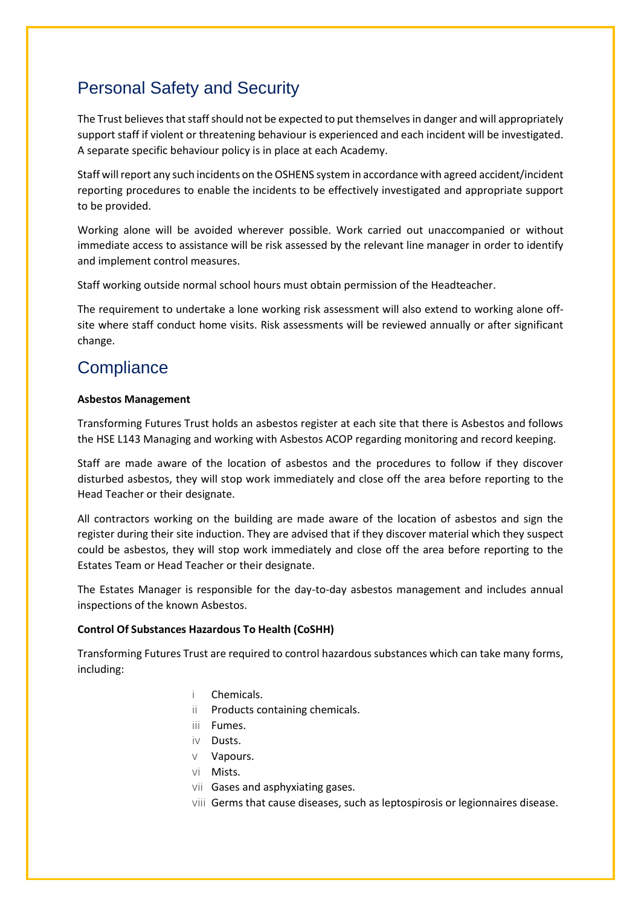# Personal Safety and Security

The Trust believes that staff should not be expected to put themselves in danger and will appropriately support staff if violent or threatening behaviour is experienced and each incident will be investigated. A separate specific behaviour policy is in place at each Academy.

Staff will report any such incidents on the OSHENS system in accordance with agreed accident/incident reporting procedures to enable the incidents to be effectively investigated and appropriate support to be provided.

Working alone will be avoided wherever possible. Work carried out unaccompanied or without immediate access to assistance will be risk assessed by the relevant line manager in order to identify and implement control measures.

Staff working outside normal school hours must obtain permission of the Headteacher.

The requirement to undertake a lone working risk assessment will also extend to working alone offsite where staff conduct home visits. Risk assessments will be reviewed annually or after significant change.

# **Compliance**

### **Asbestos Management**

Transforming Futures Trust holds an asbestos register at each site that there is Asbestos and follows the HSE L143 Managing and working with Asbestos ACOP regarding monitoring and record keeping.

Staff are made aware of the location of asbestos and the procedures to follow if they discover disturbed asbestos, they will stop work immediately and close off the area before reporting to the Head Teacher or their designate.

All contractors working on the building are made aware of the location of asbestos and sign the register during their site induction. They are advised that if they discover material which they suspect could be asbestos, they will stop work immediately and close off the area before reporting to the Estates Team or Head Teacher or their designate.

The Estates Manager is responsible for the day-to-day asbestos management and includes annual inspections of the known Asbestos.

### **Control Of Substances Hazardous To Health (CoSHH)**

Transforming Futures Trust are required to control hazardous substances which can take many forms, including:

- i Chemicals.
- ii Products containing chemicals.
- iii Fumes.
- iv Dusts.
- v Vapours.
- vi Mists.
- vii Gases and asphyxiating gases.
- viii Germs that cause diseases, such as leptospirosis or legionnaires disease.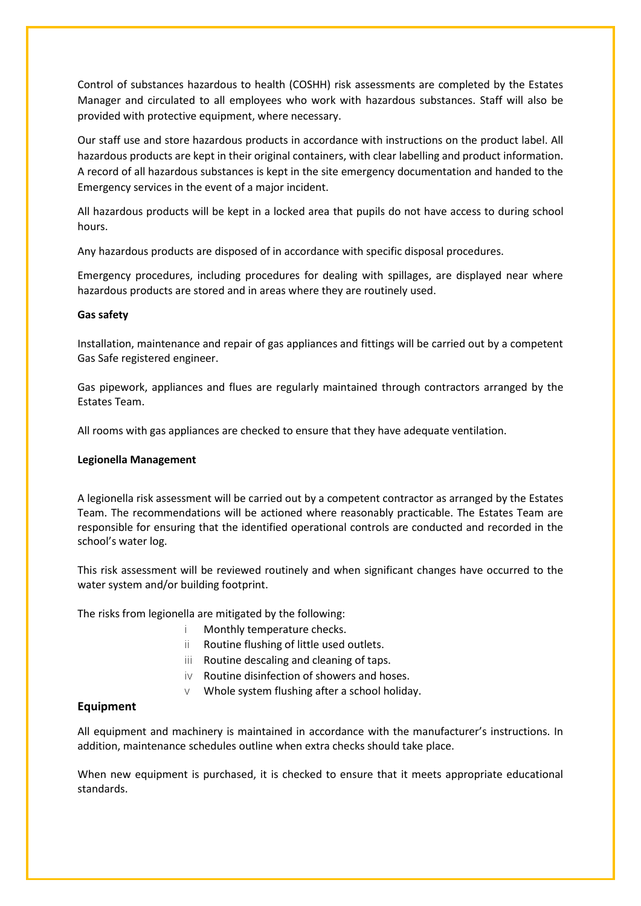Control of substances hazardous to health (COSHH) risk assessments are completed by the Estates Manager and circulated to all employees who work with hazardous substances. Staff will also be provided with protective equipment, where necessary.

Our staff use and store hazardous products in accordance with instructions on the product label. All hazardous products are kept in their original containers, with clear labelling and product information. A record of all hazardous substances is kept in the site emergency documentation and handed to the Emergency services in the event of a major incident.

All hazardous products will be kept in a locked area that pupils do not have access to during school hours.

Any hazardous products are disposed of in accordance with specific disposal procedures.

Emergency procedures, including procedures for dealing with spillages, are displayed near where hazardous products are stored and in areas where they are routinely used.

#### **Gas safety**

Installation, maintenance and repair of gas appliances and fittings will be carried out by a competent Gas Safe registered engineer.

Gas pipework, appliances and flues are regularly maintained through contractors arranged by the Estates Team.

All rooms with gas appliances are checked to ensure that they have adequate ventilation.

#### **Legionella Management**

A legionella risk assessment will be carried out by a competent contractor as arranged by the Estates Team. The recommendations will be actioned where reasonably practicable. The Estates Team are responsible for ensuring that the identified operational controls are conducted and recorded in the school's water log.

This risk assessment will be reviewed routinely and when significant changes have occurred to the water system and/or building footprint.

The risks from legionella are mitigated by the following:

- i Monthly temperature checks.
- ii Routine flushing of little used outlets.
- iii Routine descaling and cleaning of taps.
- iv Routine disinfection of showers and hoses.
- $V$  Whole system flushing after a school holiday.

### **Equipment**

All equipment and machinery is maintained in accordance with the manufacturer's instructions. In addition, maintenance schedules outline when extra checks should take place.

When new equipment is purchased, it is checked to ensure that it meets appropriate educational standards.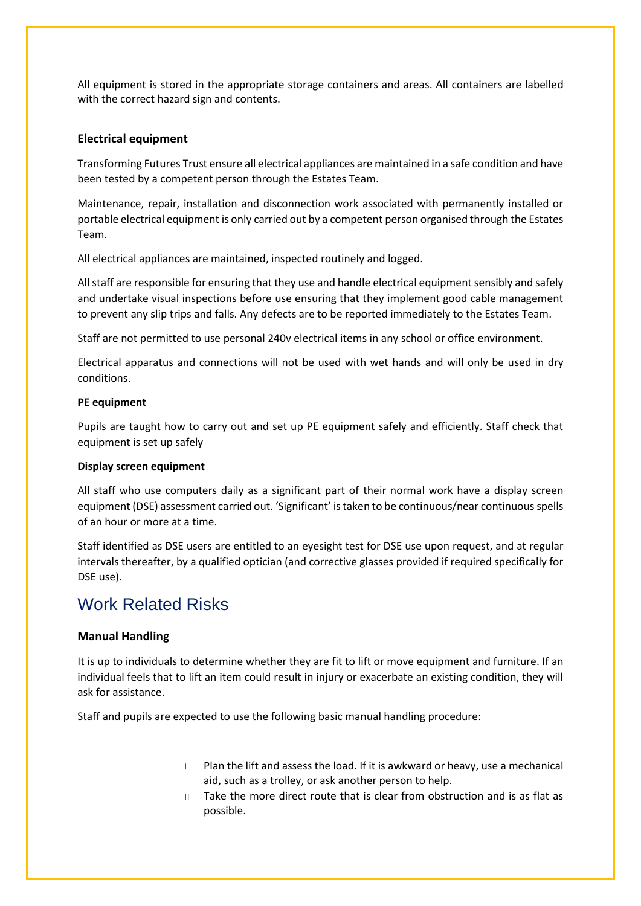All equipment is stored in the appropriate storage containers and areas. All containers are labelled with the correct hazard sign and contents.

### **Electrical equipment**

Transforming Futures Trust ensure all electrical appliances are maintained in a safe condition and have been tested by a competent person through the Estates Team.

Maintenance, repair, installation and disconnection work associated with permanently installed or portable electrical equipment is only carried out by a competent person organised through the Estates Team.

All electrical appliances are maintained, inspected routinely and logged.

All staff are responsible for ensuring that they use and handle electrical equipment sensibly and safely and undertake visual inspections before use ensuring that they implement good cable management to prevent any slip trips and falls. Any defects are to be reported immediately to the Estates Team.

Staff are not permitted to use personal 240v electrical items in any school or office environment.

Electrical apparatus and connections will not be used with wet hands and will only be used in dry conditions.

### **PE equipment**

Pupils are taught how to carry out and set up PE equipment safely and efficiently. Staff check that equipment is set up safely

### **Display screen equipment**

All staff who use computers daily as a significant part of their normal work have a display screen equipment (DSE) assessment carried out. 'Significant' is taken to be continuous/near continuous spells of an hour or more at a time.

Staff identified as DSE users are entitled to an eyesight test for DSE use upon request, and at regular intervals thereafter, by a qualified optician (and corrective glasses provided if required specifically for DSE use).

# Work Related Risks

## **Manual Handling**

It is up to individuals to determine whether they are fit to lift or move equipment and furniture. If an individual feels that to lift an item could result in injury or exacerbate an existing condition, they will ask for assistance.

Staff and pupils are expected to use the following basic manual handling procedure:

- i Plan the lift and assess the load. If it is awkward or heavy, use a mechanical aid, such as a trolley, or ask another person to help.
- ii Take the more direct route that is clear from obstruction and is as flat as possible.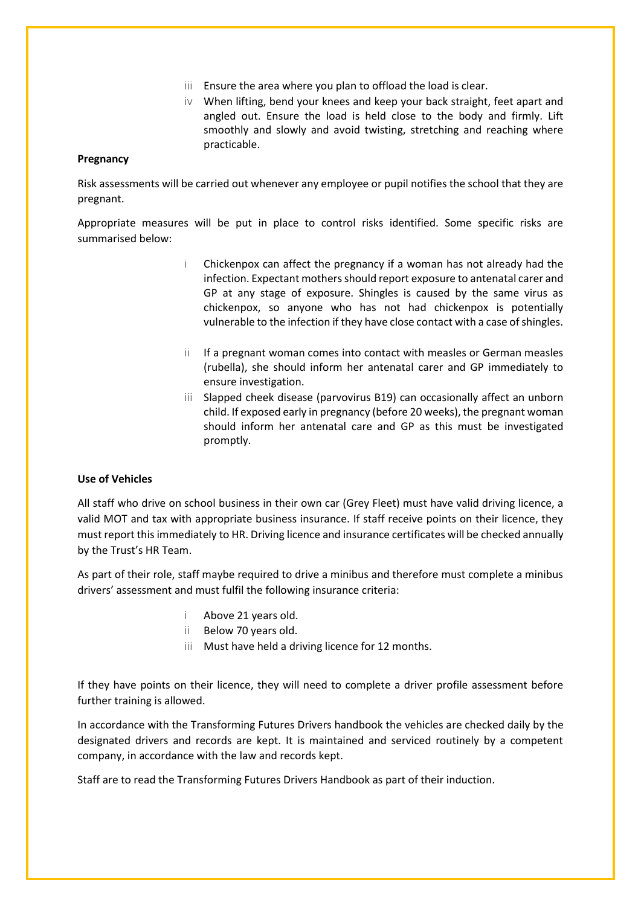- iii Ensure the area where you plan to offload the load is clear.
- iv When lifting, bend your knees and keep your back straight, feet apart and angled out. Ensure the load is held close to the body and firmly. Lift smoothly and slowly and avoid twisting, stretching and reaching where practicable.

#### **Pregnancy**

Risk assessments will be carried out whenever any employee or pupil notifies the school that they are pregnant.

Appropriate measures will be put in place to control risks identified. Some specific risks are summarised below:

- i Chickenpox can affect the pregnancy if a woman has not already had the infection. Expectant mothers should report exposure to antenatal carer and GP at any stage of exposure. Shingles is caused by the same virus as chickenpox, so anyone who has not had chickenpox is potentially vulnerable to the infection if they have close contact with a case of shingles.
- ii If a pregnant woman comes into contact with measles or German measles (rubella), she should inform her antenatal carer and GP immediately to ensure investigation.
- iii Slapped cheek disease (parvovirus B19) can occasionally affect an unborn child. If exposed early in pregnancy (before 20 weeks), the pregnant woman should inform her antenatal care and GP as this must be investigated promptly.

### **Use of Vehicles**

All staff who drive on school business in their own car (Grey Fleet) must have valid driving licence, a valid MOT and tax with appropriate business insurance. If staff receive points on their licence, they must report this immediately to HR. Driving licence and insurance certificates will be checked annually by the Trust's HR Team.

As part of their role, staff maybe required to drive a minibus and therefore must complete a minibus drivers' assessment and must fulfil the following insurance criteria:

- i Above 21 years old.
- ii Below 70 years old.
- iii Must have held a driving licence for 12 months.

If they have points on their licence, they will need to complete a driver profile assessment before further training is allowed.

In accordance with the Transforming Futures Drivers handbook the vehicles are checked daily by the designated drivers and records are kept. It is maintained and serviced routinely by a competent company, in accordance with the law and records kept.

Staff are to read the Transforming Futures Drivers Handbook as part of their induction.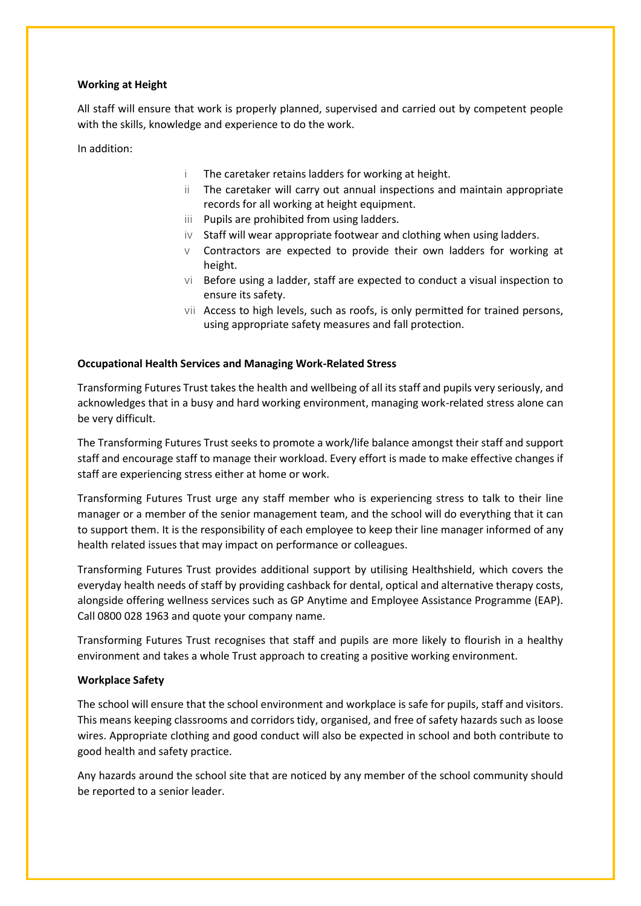#### **Working at Height**

All staff will ensure that work is properly planned, supervised and carried out by competent people with the skills, knowledge and experience to do the work.

In addition:

- i The caretaker retains ladders for working at height.
- ii The caretaker will carry out annual inspections and maintain appropriate records for all working at height equipment.
- iii Pupils are prohibited from using ladders.
- $iv$  Staff will wear appropriate footwear and clothing when using ladders.
- $\vee$  Contractors are expected to provide their own ladders for working at height.
- vi Before using a ladder, staff are expected to conduct a visual inspection to ensure its safety.
- vii Access to high levels, such as roofs, is only permitted for trained persons, using appropriate safety measures and fall protection.

#### **Occupational Health Services and Managing Work-Related Stress**

Transforming Futures Trust takes the health and wellbeing of all its staff and pupils very seriously, and acknowledges that in a busy and hard working environment, managing work-related stress alone can be very difficult.

The Transforming Futures Trust seeks to promote a work/life balance amongst their staff and support staff and encourage staff to manage their workload. Every effort is made to make effective changes if staff are experiencing stress either at home or work.

Transforming Futures Trust urge any staff member who is experiencing stress to talk to their line manager or a member of the senior management team, and the school will do everything that it can to support them. It is the responsibility of each employee to keep their line manager informed of any health related issues that may impact on performance or colleagues.

Transforming Futures Trust provides additional support by utilising Healthshield, which covers the everyday health needs of staff by providing cashback for dental, optical and alternative therapy costs, alongside offering wellness services such as GP Anytime and Employee Assistance Programme (EAP). Call 0800 028 1963 and quote your company name.

Transforming Futures Trust recognises that staff and pupils are more likely to flourish in a healthy environment and takes a whole Trust approach to creating a positive working environment.

### **Workplace Safety**

The school will ensure that the school environment and workplace is safe for pupils, staff and visitors. This means keeping classrooms and corridors tidy, organised, and free of safety hazards such as loose wires. Appropriate clothing and good conduct will also be expected in school and both contribute to good health and safety practice.

Any hazards around the school site that are noticed by any member of the school community should be reported to a senior leader.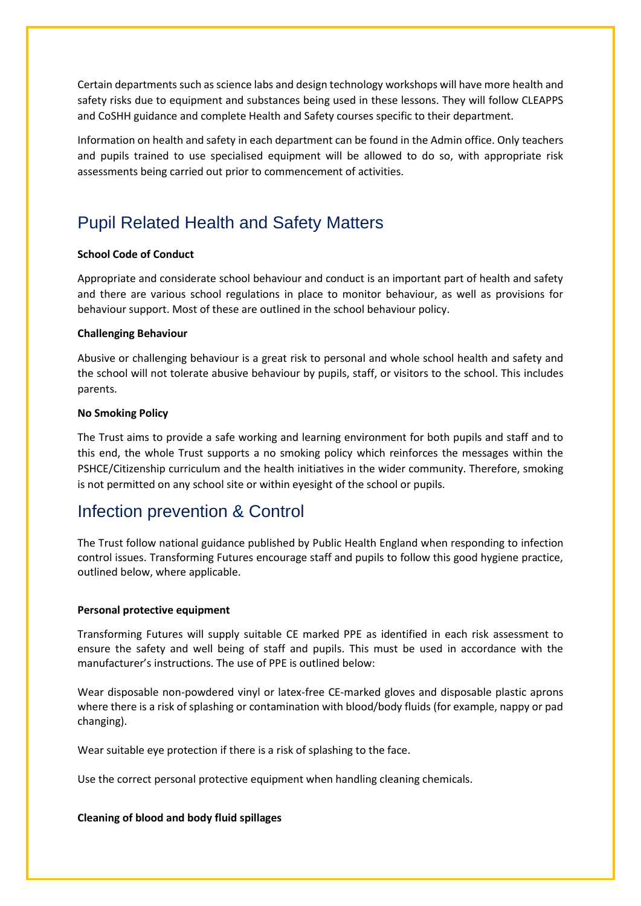Certain departments such as science labs and design technology workshops will have more health and safety risks due to equipment and substances being used in these lessons. They will follow CLEAPPS and CoSHH guidance and complete Health and Safety courses specific to their department.

Information on health and safety in each department can be found in the Admin office. Only teachers and pupils trained to use specialised equipment will be allowed to do so, with appropriate risk assessments being carried out prior to commencement of activities.

# Pupil Related Health and Safety Matters

### **School Code of Conduct**

Appropriate and considerate school behaviour and conduct is an important part of health and safety and there are various school regulations in place to monitor behaviour, as well as provisions for behaviour support. Most of these are outlined in the school behaviour policy.

### **Challenging Behaviour**

Abusive or challenging behaviour is a great risk to personal and whole school health and safety and the school will not tolerate abusive behaviour by pupils, staff, or visitors to the school. This includes parents.

#### **No Smoking Policy**

The Trust aims to provide a safe working and learning environment for both pupils and staff and to this end, the whole Trust supports a no smoking policy which reinforces the messages within the PSHCE/Citizenship curriculum and the health initiatives in the wider community. Therefore, smoking is not permitted on any school site or within eyesight of the school or pupils.

# Infection prevention & Control

The Trust follow national guidance published by Public Health England when responding to infection control issues. Transforming Futures encourage staff and pupils to follow this good hygiene practice, outlined below, where applicable.

### **Personal protective equipment**

Transforming Futures will supply suitable CE marked PPE as identified in each risk assessment to ensure the safety and well being of staff and pupils. This must be used in accordance with the manufacturer's instructions. The use of PPE is outlined below:

Wear disposable non-powdered vinyl or latex-free CE-marked gloves and disposable plastic aprons where there is a risk of splashing or contamination with blood/body fluids (for example, nappy or pad changing).

Wear suitable eye protection if there is a risk of splashing to the face.

Use the correct personal protective equipment when handling cleaning chemicals.

### **Cleaning of blood and body fluid spillages**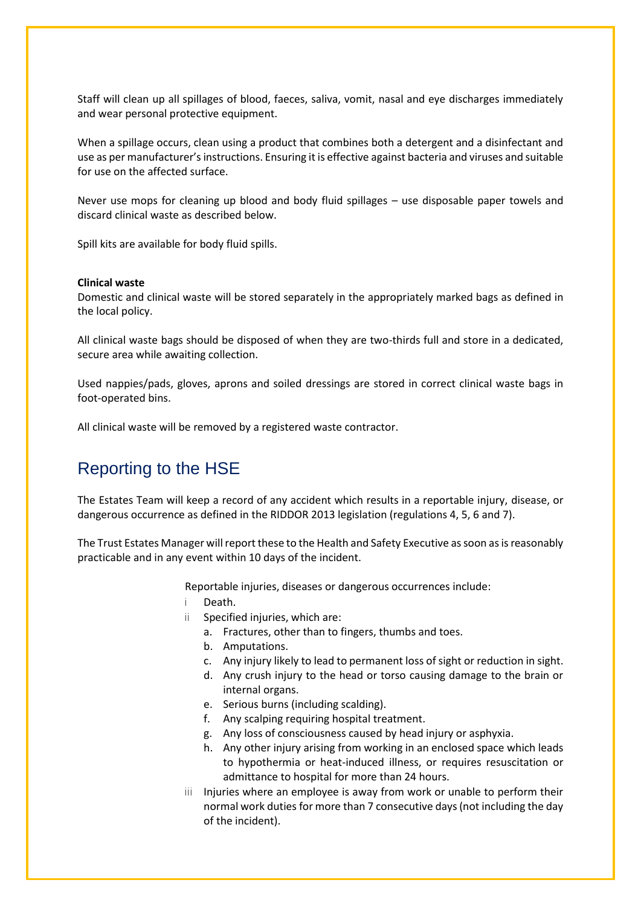Staff will clean up all spillages of blood, faeces, saliva, vomit, nasal and eye discharges immediately and wear personal protective equipment.

When a spillage occurs, clean using a product that combines both a detergent and a disinfectant and use as per manufacturer's instructions. Ensuring it is effective against bacteria and viruses and suitable for use on the affected surface.

Never use mops for cleaning up blood and body fluid spillages – use disposable paper towels and discard clinical waste as described below.

Spill kits are available for body fluid spills.

### **Clinical waste**

Domestic and clinical waste will be stored separately in the appropriately marked bags as defined in the local policy.

All clinical waste bags should be disposed of when they are two-thirds full and store in a dedicated, secure area while awaiting collection.

Used nappies/pads, gloves, aprons and soiled dressings are stored in correct clinical waste bags in foot-operated bins.

All clinical waste will be removed by a registered waste contractor.

# Reporting to the HSE

The Estates Team will keep a record of any accident which results in a reportable injury, disease, or dangerous occurrence as defined in the RIDDOR 2013 legislation (regulations 4, 5, 6 and 7).

The Trust Estates Manager will report these to the Health and Safety Executive as soon as is reasonably practicable and in any event within 10 days of the incident.

Reportable injuries, diseases or dangerous occurrences include:

- i Death.
- ii Specified injuries, which are:
	- a. Fractures, other than to fingers, thumbs and toes.
	- b. Amputations.
	- c. Any injury likely to lead to permanent loss of sight or reduction in sight.
	- d. Any crush injury to the head or torso causing damage to the brain or internal organs.
	- e. Serious burns (including scalding).
	- f. Any scalping requiring hospital treatment.
	- g. Any loss of consciousness caused by head injury or asphyxia.
	- h. Any other injury arising from working in an enclosed space which leads to hypothermia or heat-induced illness, or requires resuscitation or admittance to hospital for more than 24 hours.
- iii Injuries where an employee is away from work or unable to perform their normal work duties for more than 7 consecutive days (not including the day of the incident).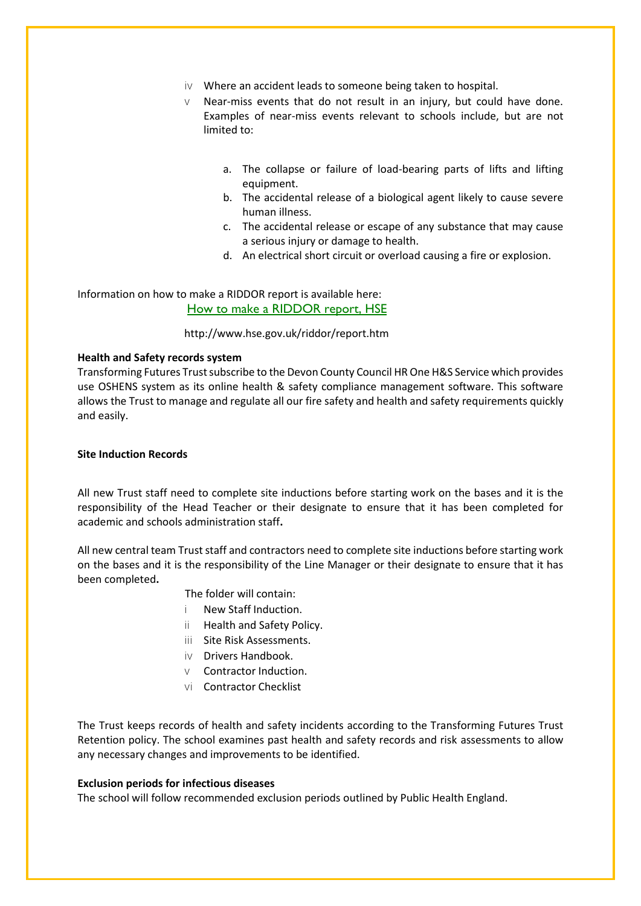- iv Where an accident leads to someone being taken to hospital.
- v Near-miss events that do not result in an injury, but could have done. Examples of near-miss events relevant to schools include, but are not limited to:
	- a. The collapse or failure of load-bearing parts of lifts and lifting equipment.
	- b. The accidental release of a biological agent likely to cause severe human illness.
	- c. The accidental release or escape of any substance that may cause a serious injury or damage to health.
	- d. An electrical short circuit or overload causing a fire or explosion.

Information on how to make a RIDDOR report is available here: [How to make a RIDDOR report, HSE](http://www.hse.gov.uk/riddor/report.htm)

#### http://www.hse.gov.uk/riddor/report.htm

#### **Health and Safety records system**

Transforming Futures Trust subscribe to the Devon County Council HR One H&S Service which provides use OSHENS system as its online health & safety compliance management software. This software allows the Trust to manage and regulate all our fire safety and health and safety requirements quickly and easily.

#### **Site Induction Records**

All new Trust staff need to complete site inductions before starting work on the bases and it is the responsibility of the Head Teacher or their designate to ensure that it has been completed for academic and schools administration staff**.**

All new central team Trust staff and contractors need to complete site inductions before starting work on the bases and it is the responsibility of the Line Manager or their designate to ensure that it has been completed**.**

### The folder will contain:

- i New Staff Induction.
- ii Health and Safety Policy.
- iii Site Risk Assessments.
- iv Drivers Handbook.
- v Contractor Induction.
- vi Contractor Checklist

The Trust keeps records of health and safety incidents according to the Transforming Futures Trust Retention policy. The school examines past health and safety records and risk assessments to allow any necessary changes and improvements to be identified.

#### **Exclusion periods for infectious diseases**

The school will follow recommended exclusion periods outlined by Public Health England.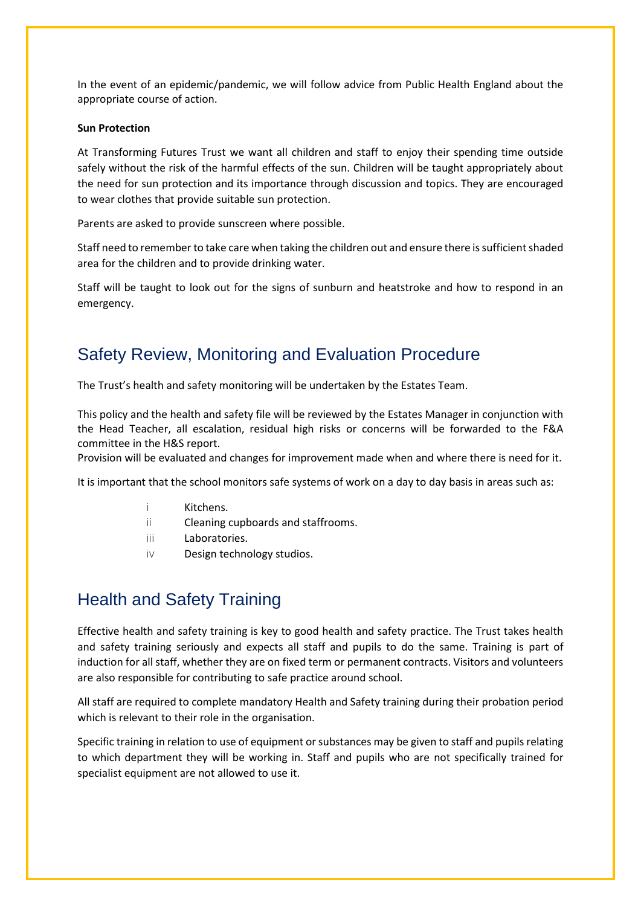In the event of an epidemic/pandemic, we will follow advice from Public Health England about the appropriate course of action.

#### **Sun Protection**

At Transforming Futures Trust we want all children and staff to enjoy their spending time outside safely without the risk of the harmful effects of the sun. Children will be taught appropriately about the need for sun protection and its importance through discussion and topics. They are encouraged to wear clothes that provide suitable sun protection.

Parents are asked to provide sunscreen where possible.

Staff need to remember to take care when taking the children out and ensure there is sufficient shaded area for the children and to provide drinking water.

Staff will be taught to look out for the signs of sunburn and heatstroke and how to respond in an emergency.

# Safety Review, Monitoring and Evaluation Procedure

The Trust's health and safety monitoring will be undertaken by the Estates Team.

This policy and the health and safety file will be reviewed by the Estates Manager in conjunction with the Head Teacher, all escalation, residual high risks or concerns will be forwarded to the F&A committee in the H&S report.

Provision will be evaluated and changes for improvement made when and where there is need for it.

It is important that the school monitors safe systems of work on a day to day basis in areas such as:

- i Kitchens.
- ii Cleaning cupboards and staffrooms.
- iii Laboratories.
- iv Design technology studios.

# Health and Safety Training

Effective health and safety training is key to good health and safety practice. The Trust takes health and safety training seriously and expects all staff and pupils to do the same. Training is part of induction for all staff, whether they are on fixed term or permanent contracts. Visitors and volunteers are also responsible for contributing to safe practice around school.

All staff are required to complete mandatory Health and Safety training during their probation period which is relevant to their role in the organisation.

Specific training in relation to use of equipment or substances may be given to staff and pupils relating to which department they will be working in. Staff and pupils who are not specifically trained for specialist equipment are not allowed to use it.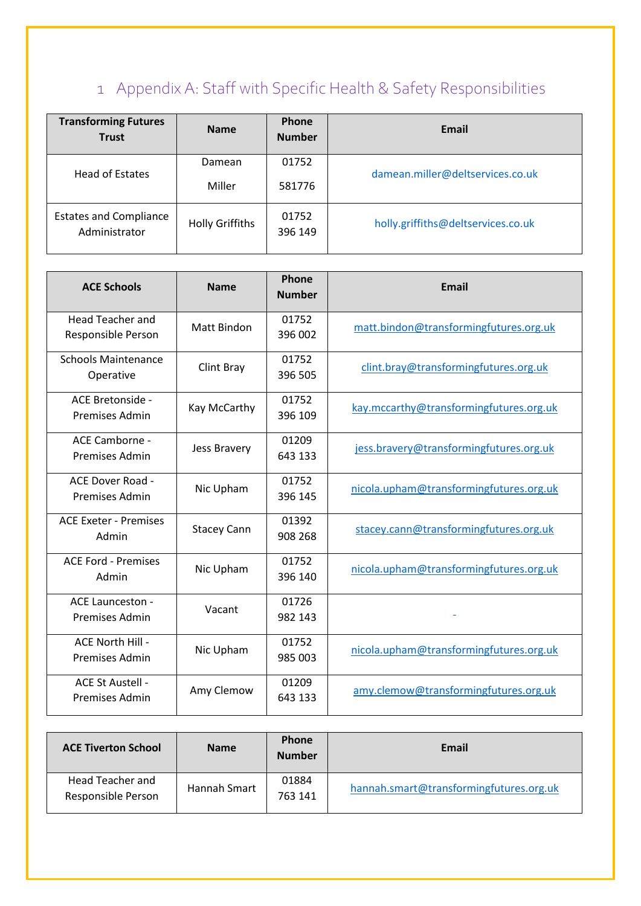# 1 Appendix A: Staff with Specific Health & Safety Responsibilities

| <b>Transforming Futures</b><br><b>Trust</b>    | <b>Name</b>            | Phone<br><b>Number</b> | Email                              |
|------------------------------------------------|------------------------|------------------------|------------------------------------|
| Head of Estates                                | Damean                 | 01752                  | damean.miller@deltservices.co.uk   |
|                                                | Miller                 | 581776                 |                                    |
| <b>Estates and Compliance</b><br>Administrator | <b>Holly Griffiths</b> | 01752<br>396 149       | holly.griffiths@deltservices.co.uk |

| <b>ACE Schools</b>                        | <b>Name</b>        | Phone<br><b>Number</b> | <b>Email</b>                            |
|-------------------------------------------|--------------------|------------------------|-----------------------------------------|
| Head Teacher and<br>Responsible Person    | Matt Bindon        | 01752<br>396 002       | matt.bindon@transformingfutures.org.uk  |
| <b>Schools Maintenance</b><br>Operative   | Clint Bray         | 01752<br>396 505       | clint.bray@transformingfutures.org.uk   |
| ACE Bretonside -<br>Premises Admin        | Kay McCarthy       | 01752<br>396 109       | kay.mccarthy@transformingfutures.org.uk |
| ACE Camborne -<br>Premises Admin          | Jess Bravery       | 01209<br>643 133       | jess.bravery@transformingfutures.org.uk |
| ACE Dover Road -<br><b>Premises Admin</b> | Nic Upham          | 01752<br>396 145       | nicola.upham@transformingfutures.org.uk |
| <b>ACE Exeter - Premises</b><br>Admin     | <b>Stacey Cann</b> | 01392<br>908 268       | stacey.cann@transformingfutures.org.uk  |
| <b>ACE Ford - Premises</b><br>Admin       | Nic Upham          | 01752<br>396 140       | nicola.upham@transformingfutures.org.uk |
| <b>ACE Launceston -</b><br>Premises Admin | Vacant             | 01726<br>982 143       |                                         |
| ACE North Hill -<br><b>Premises Admin</b> | Nic Upham          | 01752<br>985 003       | nicola.upham@transformingfutures.org.uk |
| ACE St Austell -<br><b>Premises Admin</b> | Amy Clemow         | 01209<br>643 133       | amy.clemow@transformingfutures.org.uk   |

| <b>ACE Tiverton School</b>             | <b>Name</b>  | <b>Phone</b><br><b>Number</b> | Email                                   |
|----------------------------------------|--------------|-------------------------------|-----------------------------------------|
| Head Teacher and<br>Responsible Person | Hannah Smart | 01884<br>763 141              | hannah.smart@transformingfutures.org.uk |